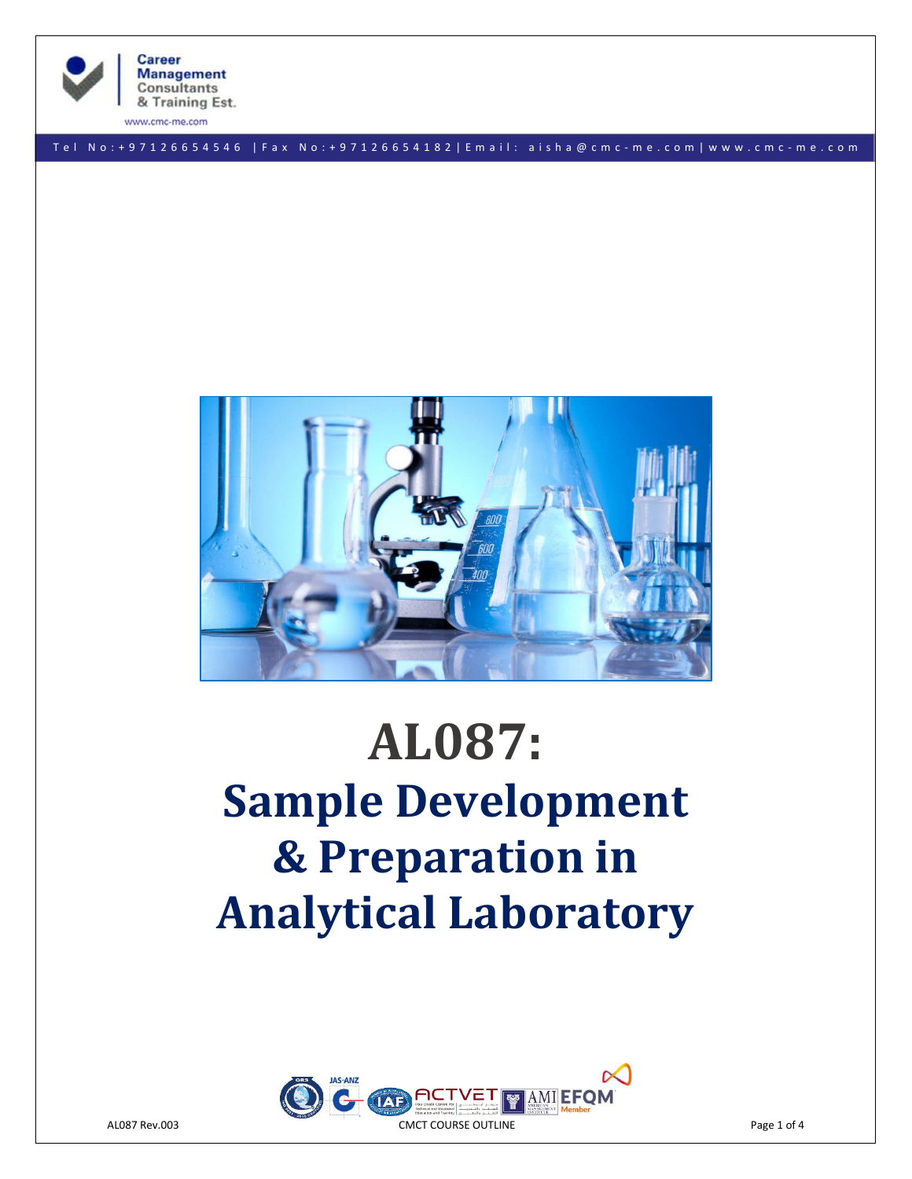

**Career Management Consultants** & Training Est.

T e l N o : + 9 7 1 2 6 6 5 4 5 4 6 | F a x No: + 9 7 1 2 6 6 5 4 1 8 2 | E m a i l : a i s h a @ c m c - m e . c o m | w w w . c m c - m e . c o m



# **AL087: Sample Development & Preparation in Analytical Laboratory**

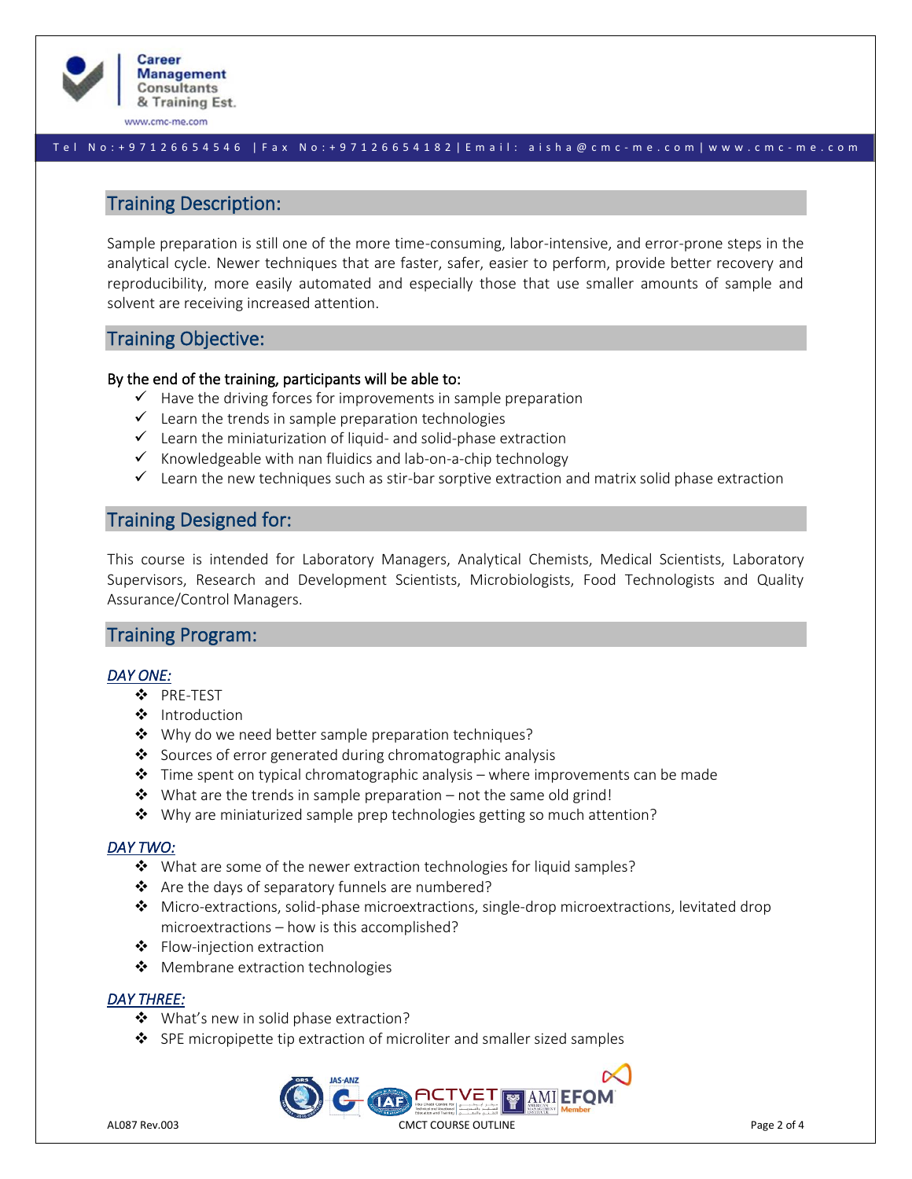

#### T e l N o : + 9 7 1 2 6 6 5 4 5 4 6 | F a x No: + 9 7 1 2 6 6 5 4 1 8 2 | E m a i l : a i s h a @ c m c - m e . c o m | w w w . c m c - m e . c o m

# Training Description:

Sample preparation is still one of the more time-consuming, labor-intensive, and error-prone steps in the analytical cycle. Newer techniques that are faster, safer, easier to perform, provide better recovery and reproducibility, more easily automated and especially those that use smaller amounts of sample and solvent are receiving increased attention.

# Training Objective:

## By the end of the training, participants will be able to:

- $\checkmark$  Have the driving forces for improvements in sample preparation
- $\checkmark$  Learn the trends in sample preparation technologies
- $\checkmark$  Learn the miniaturization of liquid- and solid-phase extraction
- $\checkmark$  Knowledgeable with nan fluidics and lab-on-a-chip technology
- $\checkmark$  Learn the new techniques such as stir-bar sorptive extraction and matrix solid phase extraction

# Training Designed for:

This course is intended for Laboratory Managers, Analytical Chemists, Medical Scientists, Laboratory Supervisors, Research and Development Scientists, Microbiologists, Food Technologists and Quality Assurance/Control Managers.

## Training Program:

## *DAY ONE:*

- ❖ PRE-TEST
- ❖ Introduction
- ❖ Why do we need better sample preparation techniques?
- ❖ Sources of error generated during chromatographic analysis
- $\dots$  Time spent on typical chromatographic analysis where improvements can be made
- ❖ What are the trends in sample preparation not the same old grind!
- ❖ Why are miniaturized sample prep technologies getting so much attention?

## *DAY TWO:*

- ❖ What are some of the newer extraction technologies for liquid samples?
- ❖ Are the days of separatory funnels are numbered?
- ❖ Micro-extractions, solid-phase microextractions, single-drop microextractions, levitated drop microextractions – how is this accomplished?
- ❖ Flow-injection extraction
- ❖ Membrane extraction technologies

## *DAY THREE:*

- ❖ What's new in solid phase extraction?
- ❖ SPE micropipette tip extraction of microliter and smaller sized samples

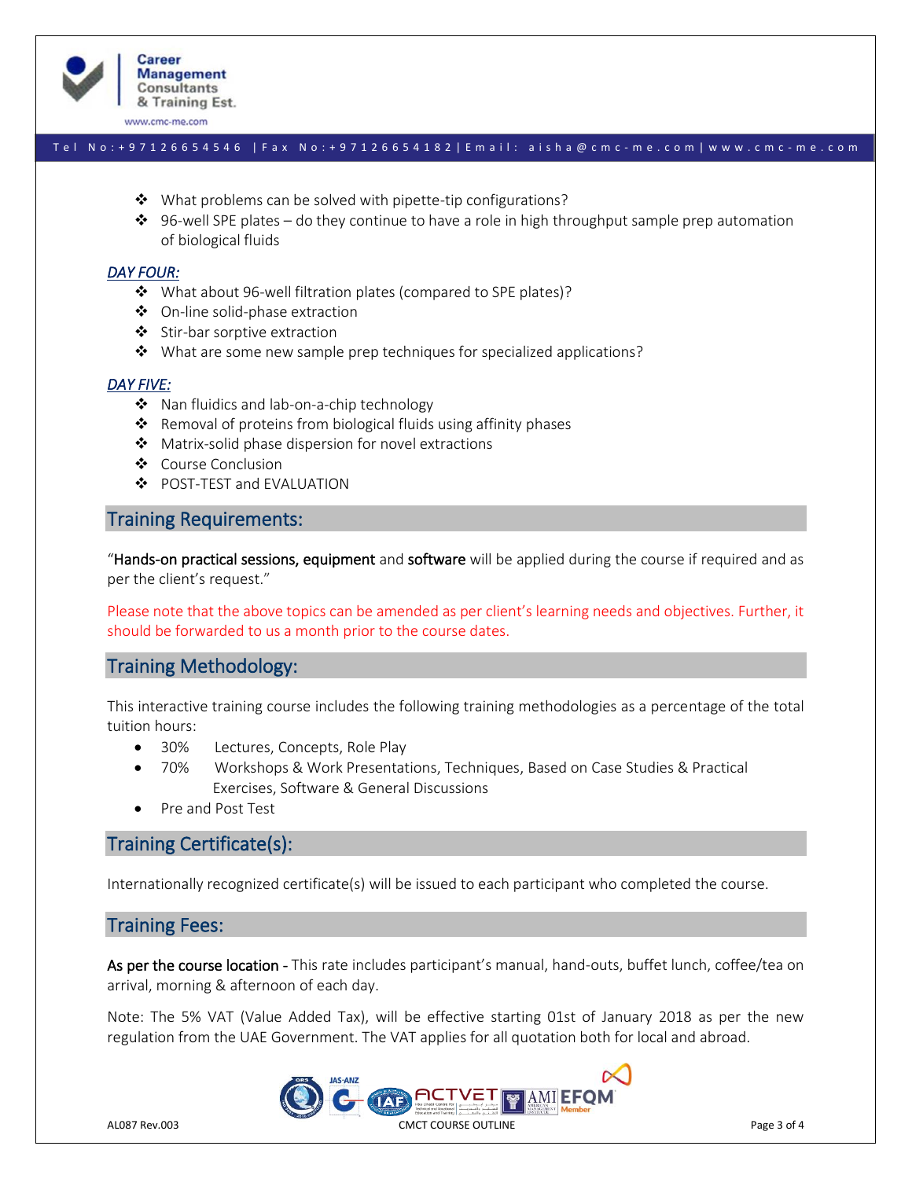

#### T e l N o : + 9 7 1 2 6 6 5 4 5 4 6 | F a x No: + 9 7 1 2 6 6 5 4 1 8 2 | E m a i l : a i s h a @ c m c - m e . c o m | w w w . c m c - m e . c o m

- ❖ What problems can be solved with pipette-tip configurations?
- $\dots$  96-well SPE plates do they continue to have a role in high throughput sample prep automation of biological fluids

#### *DAY FOUR:*

- ❖ What about 96-well filtration plates (compared to SPE plates)?
- ❖ On-line solid-phase extraction
- ❖ Stir-bar sorptive extraction
- ❖ What are some new sample prep techniques for specialized applications?

#### *DAY FIVE:*

- ❖ Nan fluidics and lab-on-a-chip technology
- ❖ Removal of proteins from biological fluids using affinity phases
- ❖ Matrix-solid phase dispersion for novel extractions
- ❖ Course Conclusion
- ❖ POST-TEST and EVALUATION

## Training Requirements:

"Hands-on practical sessions, equipment and software will be applied during the course if required and as per the client's request."

Please note that the above topics can be amended as per client's learning needs and objectives. Further, it should be forwarded to us a month prior to the course dates.

## Training Methodology:

This interactive training course includes the following training methodologies as a percentage of the total tuition hours:

- 30% Lectures, Concepts, Role Play
- 70% Workshops & Work Presentations, Techniques, Based on Case Studies & Practical Exercises, Software & General Discussions
- Pre and Post Test

# Training Certificate(s):

Internationally recognized certificate(s) will be issued to each participant who completed the course.

# Training Fees:

As per the course location - This rate includes participant's manual, hand-outs, buffet lunch, coffee/tea on arrival, morning & afternoon of each day.

Note: The 5% VAT (Value Added Tax), will be effective starting 01st of January 2018 as per the new regulation from the UAE Government. The VAT applies for all quotation both for local and abroad.